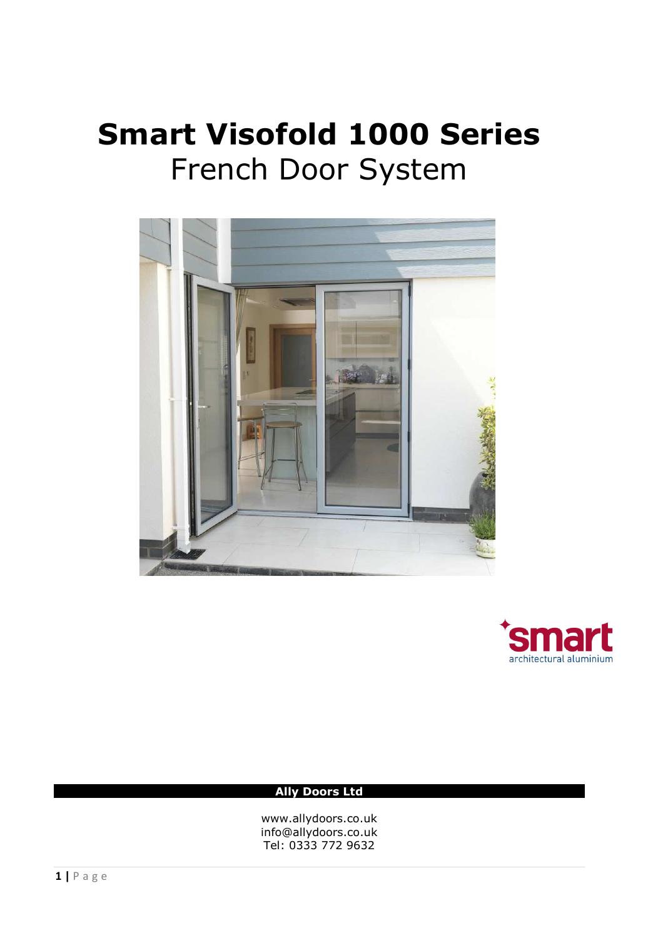# **Smart Visofold 1000 Series**  French Door System





# **Ally Doors Ltd**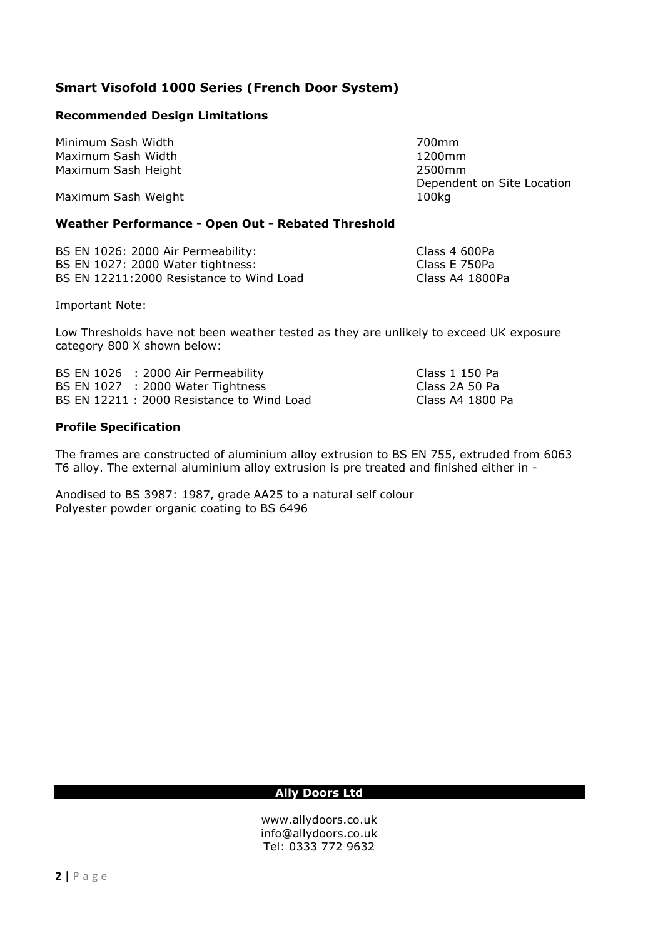# **Smart Visofold 1000 Series (French Door System)**

# **Recommended Design Limitations**

Minimum Sash Width 700mm Maximum Sash Width 1200mm Maximum Sash Height

Maximum Sash Weight 100kg

Dependent on Site Location

## **Weather Performance - Open Out - Rebated Threshold**

BS EN 1026: 2000 Air Permeability:<br>
BS EN 1027: 2000 Water tightness: 
Class E 750Pa BS EN 1027: 2000 Water tightness: BS EN 12211:2000 Resistance to Wind Load Class A4 1800Pa

Important Note:

Low Thresholds have not been weather tested as they are unlikely to exceed UK exposure category 800 X shown below:

BS EN 1026 : 2000 Air Permeability Class 1 150 Pa BS EN  $1027$  : 2000 Water Tightness BS EN 12211 : 2000 Resistance to Wind Load Class A4 1800 Pa

#### **Profile Specification**

The frames are constructed of aluminium alloy extrusion to BS EN 755, extruded from 6063 T6 alloy. The external aluminium alloy extrusion is pre treated and finished either in -

Anodised to BS 3987: 1987, grade AA25 to a natural self colour Polyester powder organic coating to BS 6496

#### **Ally Doors Ltd**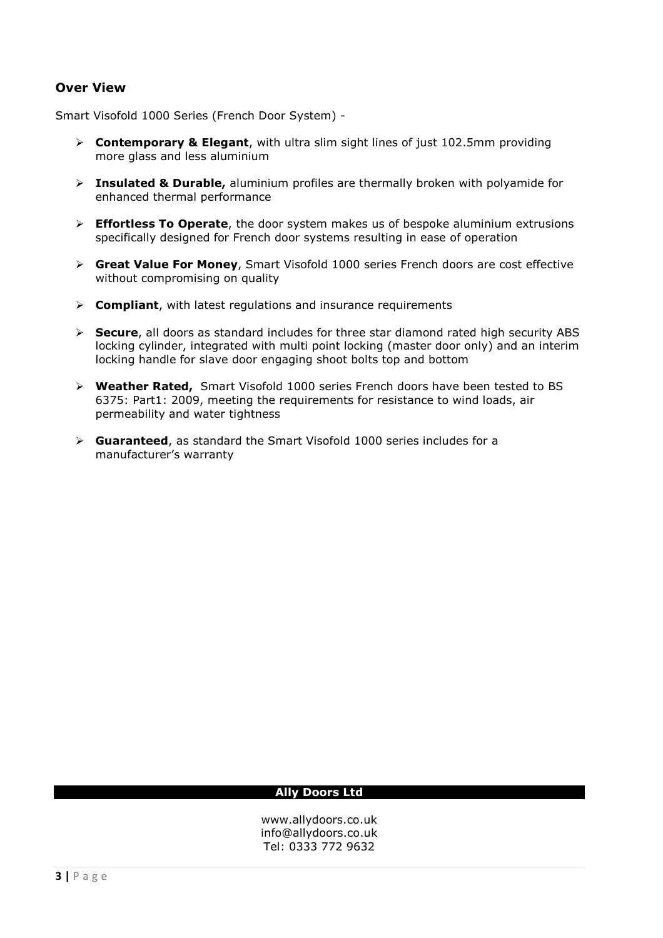# **Over View**

Smart Visofold 1000 Series (French Door System) -

- **Contemporary & Elegant**, with ultra slim sight lines of just 102.5mm providing more glass and less aluminium
- **Insulated & Durable,** aluminium profiles are thermally broken with polyamide for enhanced thermal performance
- **Effortless To Operate**, the door system makes us of bespoke aluminium extrusions specifically designed for French door systems resulting in ease of operation
- **Great Value For Money**, Smart Visofold 1000 series French doors are cost effective without compromising on quality
- **Compliant**, with latest regulations and insurance requirements
- **Secure**, all doors as standard includes for three star diamond rated high security ABS locking cylinder, integrated with multi point locking (master door only) and an interim locking handle for slave door engaging shoot bolts top and bottom
- **Weather Rated,** Smart Visofold 1000 series French doors have been tested to BS 6375: Part1: 2009, meeting the requirements for resistance to wind loads, air permeability and water tightness
- **Guaranteed**, as standard the Smart Visofold 1000 series includes for a manufacturer's warranty

#### **Ally Doors Ltd**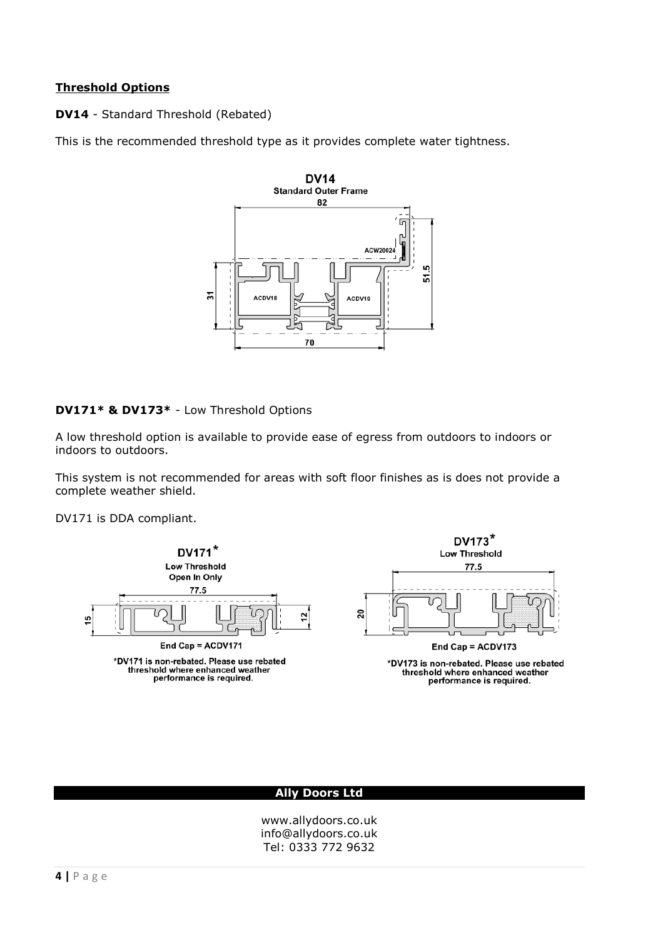## **Threshold Options**

**DV14** - Standard Threshold (Rebated)

This is the recommended threshold type as it provides complete water tightness.



#### **DV171\* & DV173\*** - Low Threshold Options

A low threshold option is available to provide ease of egress from outdoors to indoors or indoors to outdoors.

This system is not recommended for areas with soft floor finishes as is does not provide a complete weather shield.

DV171 is DDA compliant.



threshold where enhanced weather performance is required.



\*DV173 is non-rebated. Please use rebated threshold where enhanced weather performance is required.

#### **Ally Doors Ltd**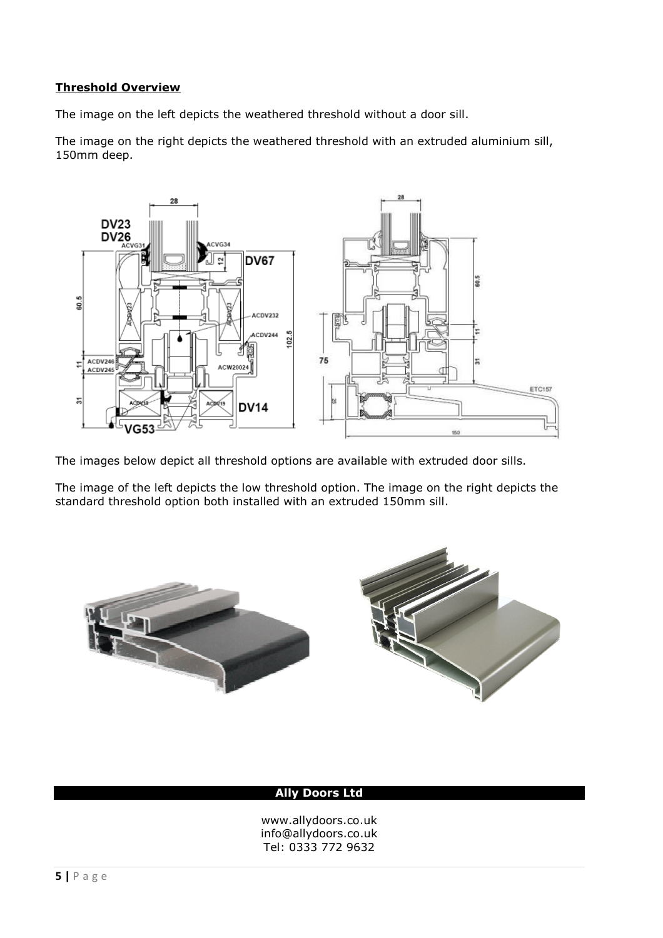## **Threshold Overview**

The image on the left depicts the weathered threshold without a door sill.

The image on the right depicts the weathered threshold with an extruded aluminium sill, 150mm deep.



The images below depict all threshold options are available with extruded door sills.

The image of the left depicts the low threshold option. The image on the right depicts the standard threshold option both installed with an extruded 150mm sill.



### **Ally Doors Ltd**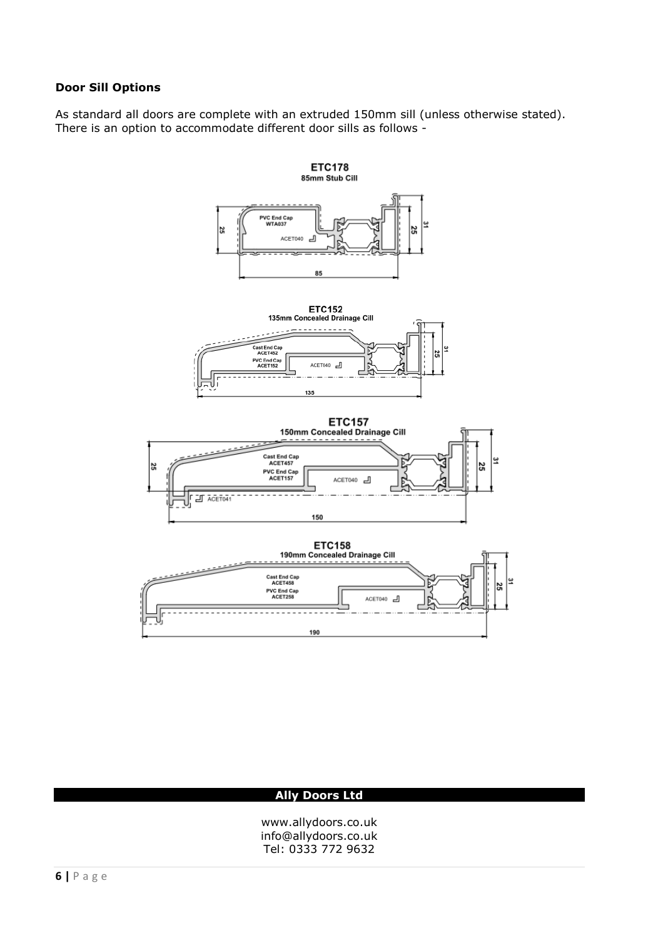## **Door Sill Options**

As standard all doors are complete with an extruded 150mm sill (unless otherwise stated). There is an option to accommodate different door sills as follows -



### **Ally Doors Ltd**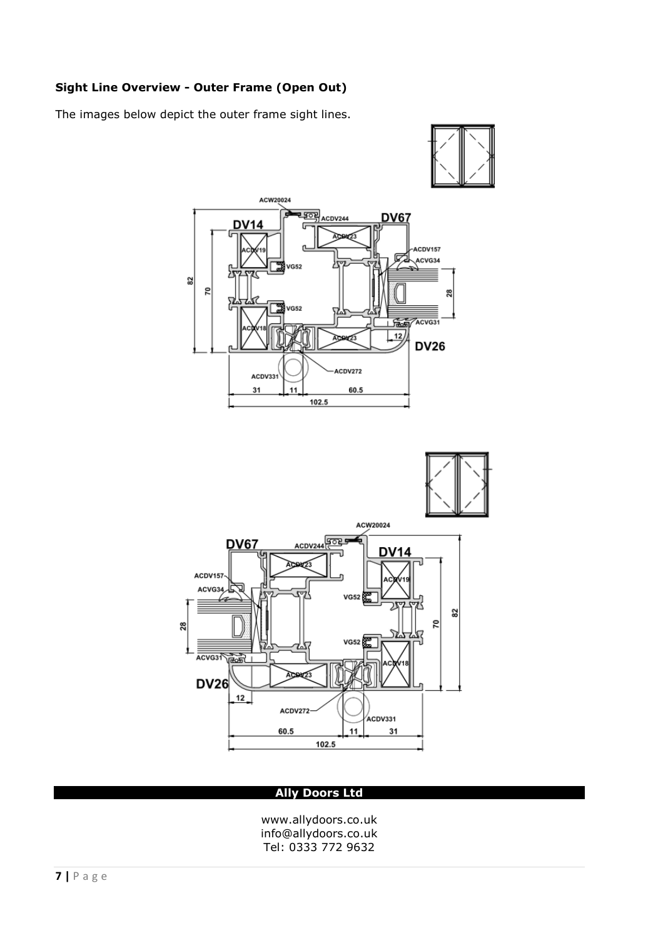# **Sight Line Overview - Outer Frame (Open Out)**

The images below depict the outer frame sight lines.





#### **Ally Doors Ltd**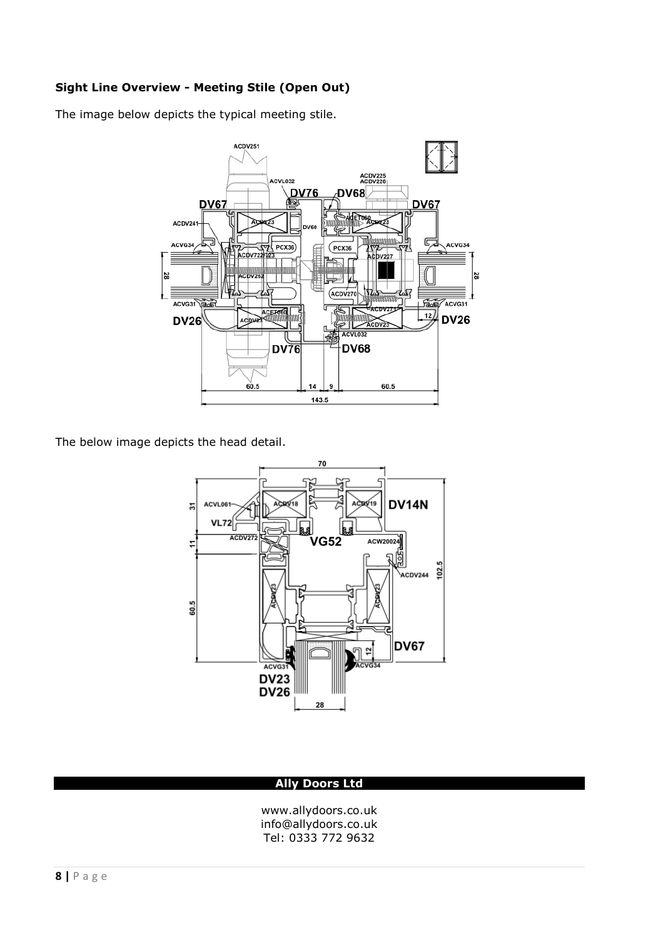# **Sight Line Overview - Meeting Stile (Open Out)**

The image below depicts the typical meeting stile.



The below image depicts the head detail.



## **Ally Doors Ltd**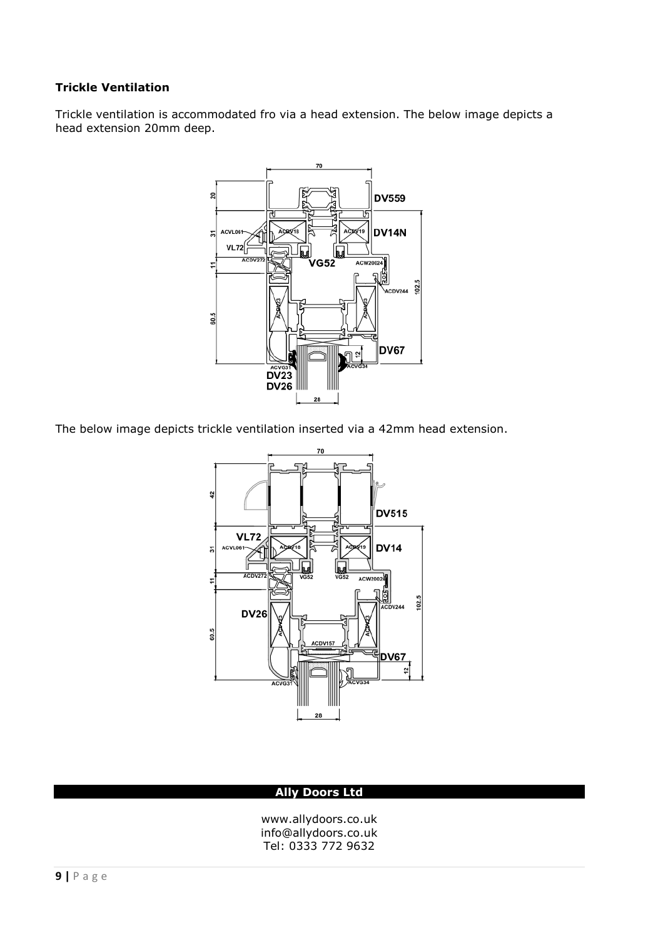# **Trickle Ventilation**

Trickle ventilation is accommodated fro via a head extension. The below image depicts a head extension 20mm deep.



The below image depicts trickle ventilation inserted via a 42mm head extension.



#### **Ally Doors Ltd**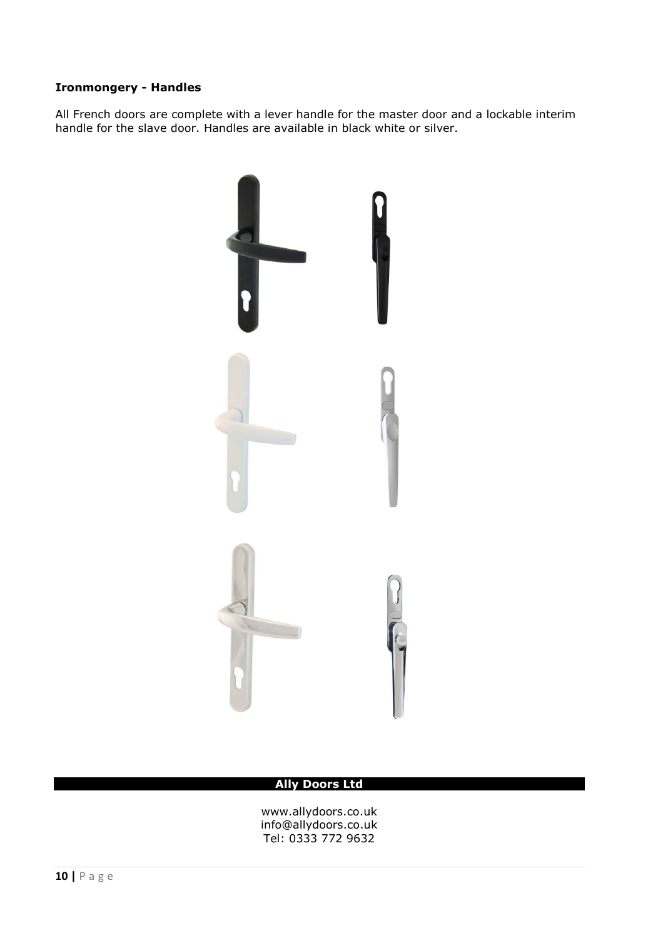# **Ironmongery - Handles**

All French doors are complete with a lever handle for the master door and a lockable interim handle for the slave door. Handles are available in black white or silver.



#### **Ally Doors Ltd**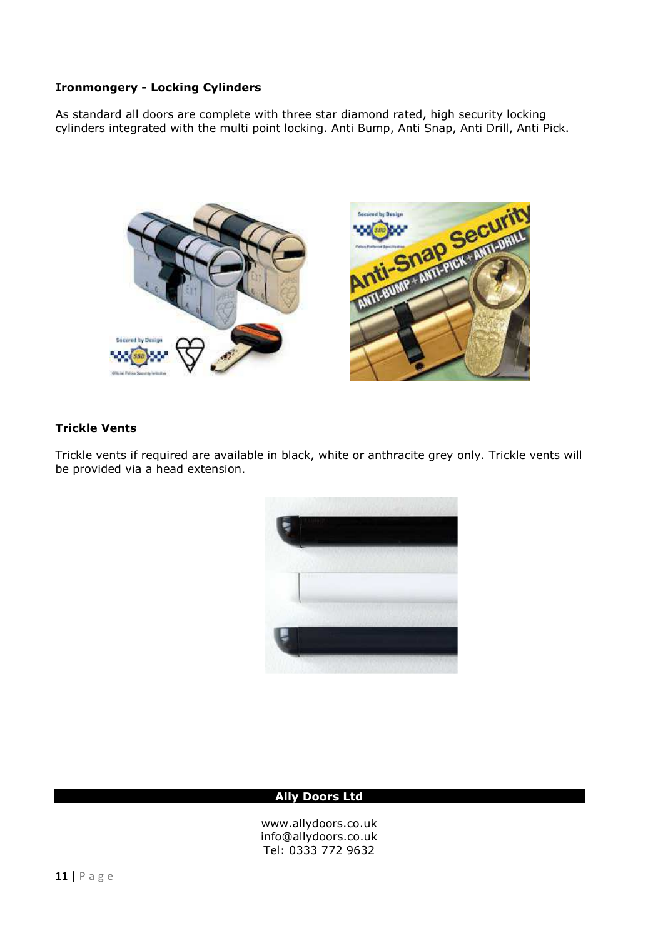# **Ironmongery - Locking Cylinders**

As standard all doors are complete with three star diamond rated, high security locking cylinders integrated with the multi point locking. Anti Bump, Anti Snap, Anti Drill, Anti Pick.



## **Trickle Vents**

Trickle vents if required are available in black, white or anthracite grey only. Trickle vents will be provided via a head extension.



#### **Ally Doors Ltd**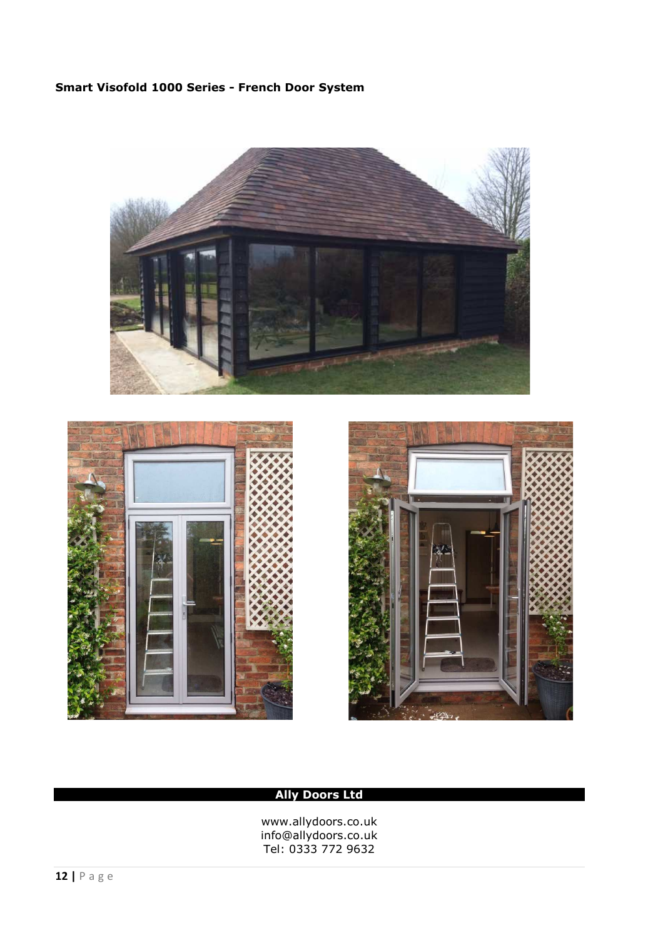# **Smart Visofold 1000 Series - French Door System**







# **Ally Doors Ltd**